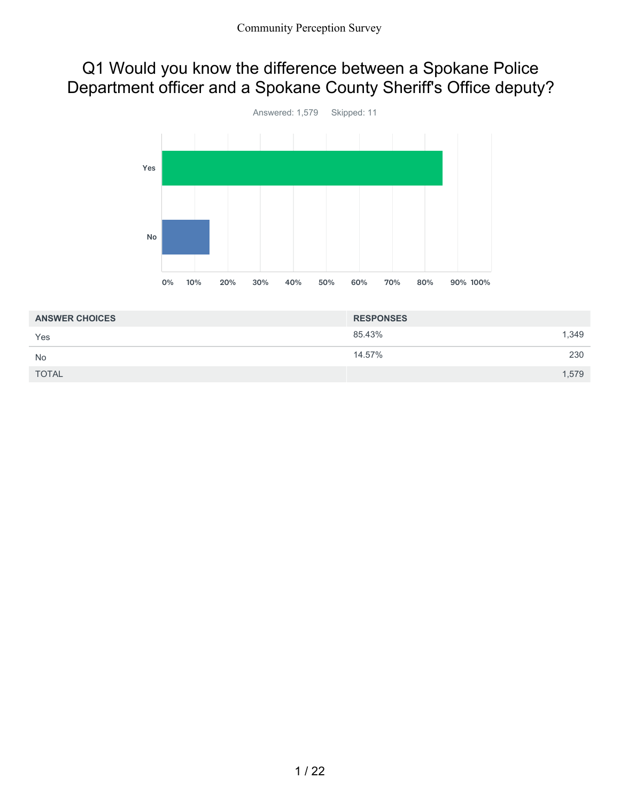### Q1 Would you know the difference between a Spokane Police Department officer and a Spokane County Sheriff's Office deputy?



| <b>ANSWER CHOICES</b> | <b>RESPONSES</b> |
|-----------------------|------------------|
| Yes                   | 1,349<br>85.43%  |
| <b>No</b>             | 230<br>14.57%    |
| <b>TOTAL</b>          | 1,579            |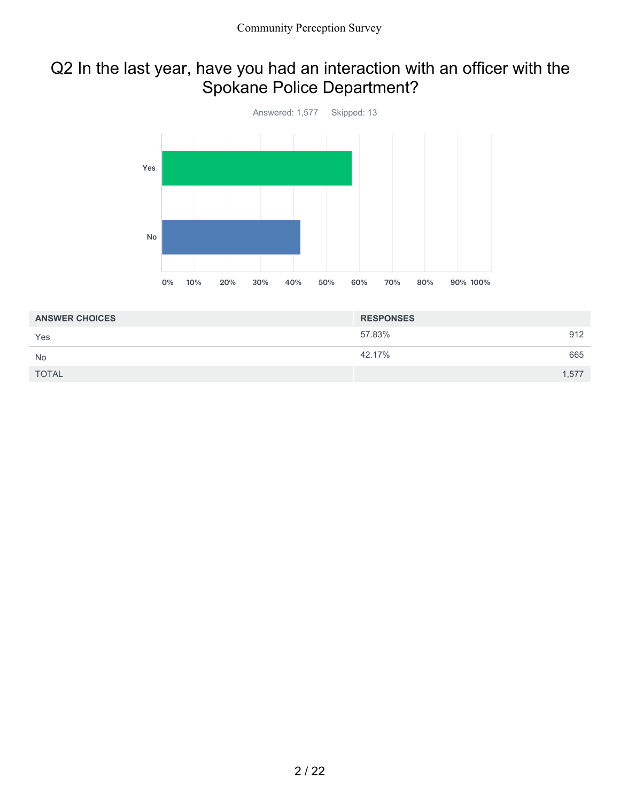## Q2 In the last year, have you had an interaction with an officer with the Spokane Police Department?



| <b>ANSWER CHOICES</b> | <b>RESPONSES</b> |     |
|-----------------------|------------------|-----|
| Yes                   | 57.83%           | 912 |
| <b>No</b>             | 42.17%           | 665 |
| <b>TOTAL</b>          | 1,577            |     |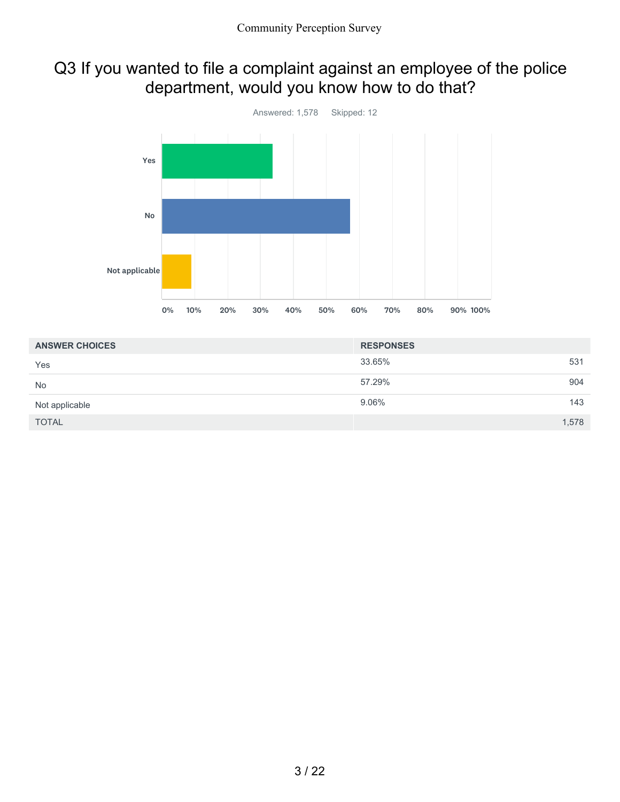### Q3 If you wanted to file a complaint against an employee of the police department, would you know how to do that?



| <b>ANSWER CHOICES</b> | <b>RESPONSES</b> |       |
|-----------------------|------------------|-------|
| Yes                   | 33.65%           | 531   |
| <b>No</b>             | 57.29%           | 904   |
| Not applicable        | 9.06%            | 143   |
| <b>TOTAL</b>          |                  | 1,578 |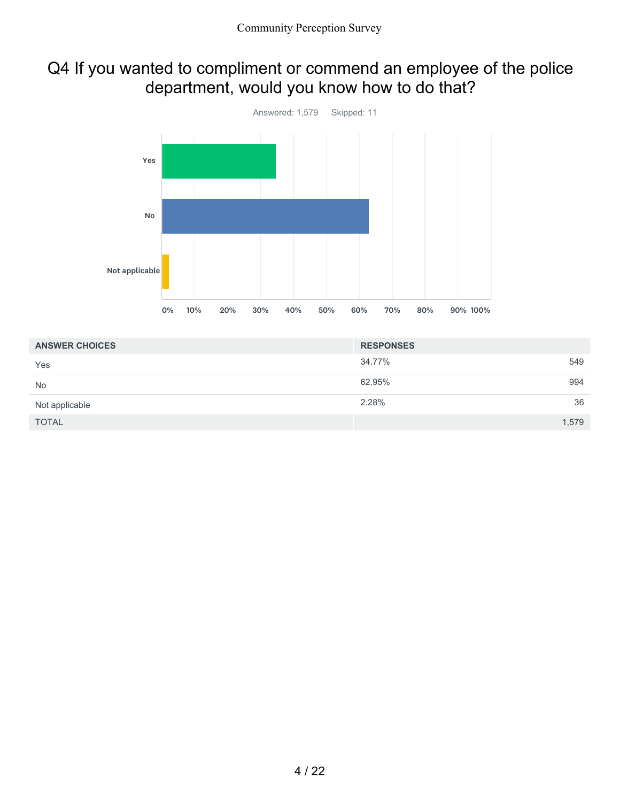## Q4 If you wanted to compliment or commend an employee of the police department, would you know how to do that?



| <b>ANSWER CHOICES</b> | <b>RESPONSES</b> |       |
|-----------------------|------------------|-------|
| Yes                   | 34.77%           | 549   |
| <b>No</b>             | 62.95%           | 994   |
| Not applicable        | 2.28%            | 36    |
| <b>TOTAL</b>          |                  | 1,579 |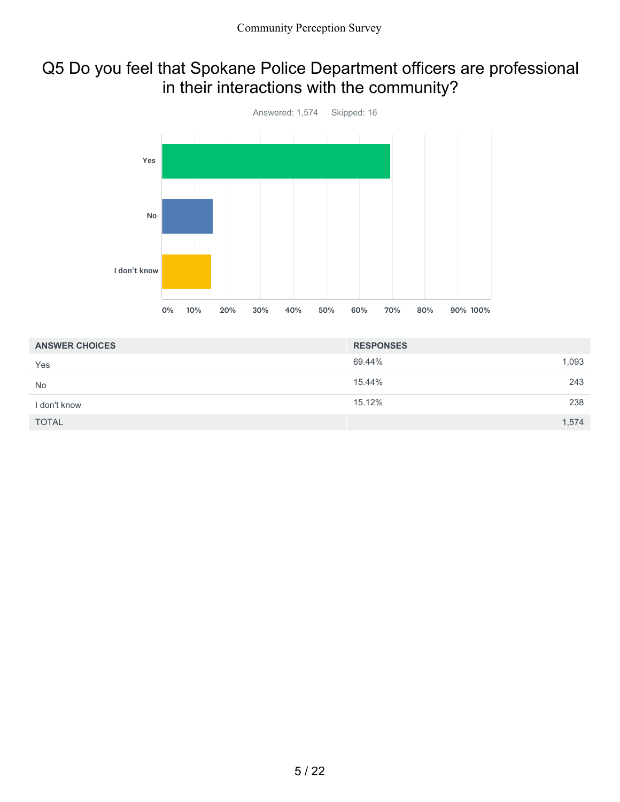## Q5 Do you feel that Spokane Police Department officers are professional in their interactions with the community?



| <b>ANSWER CHOICES</b> | <b>RESPONSES</b> |       |
|-----------------------|------------------|-------|
| Yes                   | 69.44%           | 1,093 |
| <b>No</b>             | 15.44%           | 243   |
| I don't know          | 15.12%           | 238   |
| <b>TOTAL</b>          |                  | 1,574 |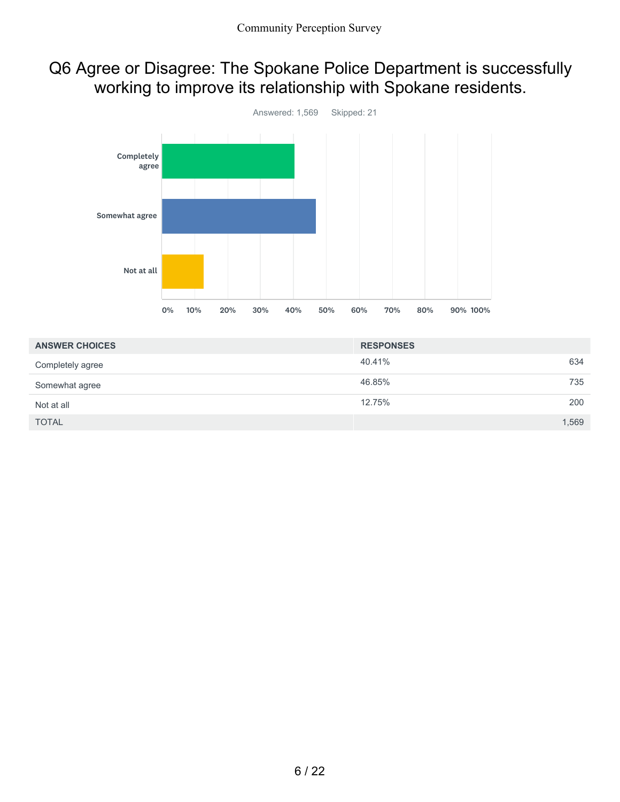### Q6 Agree or Disagree: The Spokane Police Department is successfully working to improve its relationship with Spokane residents.



| <b>ANSWER CHOICES</b> | <b>RESPONSES</b> |     |
|-----------------------|------------------|-----|
| Completely agree      | 40.41%           | 634 |
| Somewhat agree        | 46.85%           | 735 |
| Not at all            | 12.75%           | 200 |
| <b>TOTAL</b>          | 1,569            |     |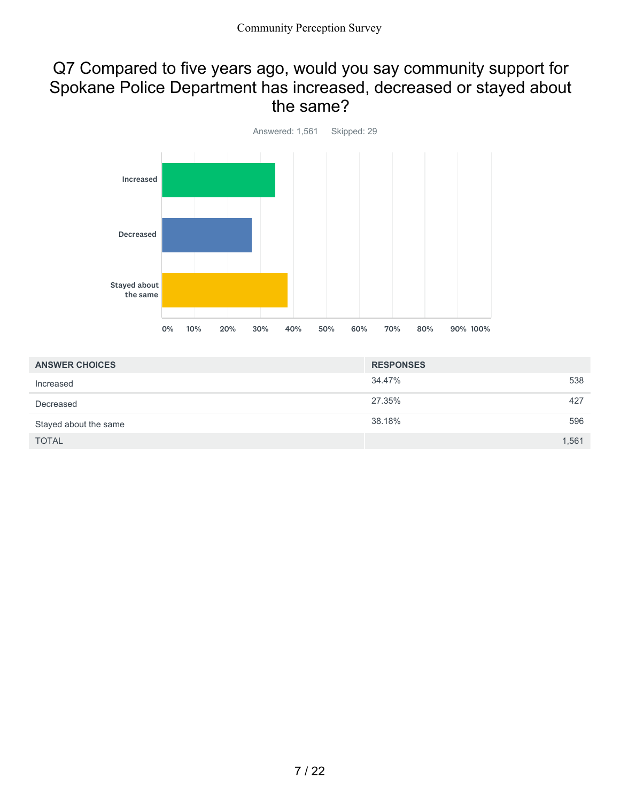#### Q7 Compared to five years ago, would you say community support for Spokane Police Department has increased, decreased or stayed about the same?



| <b>ANSWER CHOICES</b> | <b>RESPONSES</b> |
|-----------------------|------------------|
| Increased             | 34.47%<br>538    |
| Decreased             | 27.35%<br>427    |
| Stayed about the same | 38.18%<br>596    |
| <b>TOTAL</b>          | 1,561            |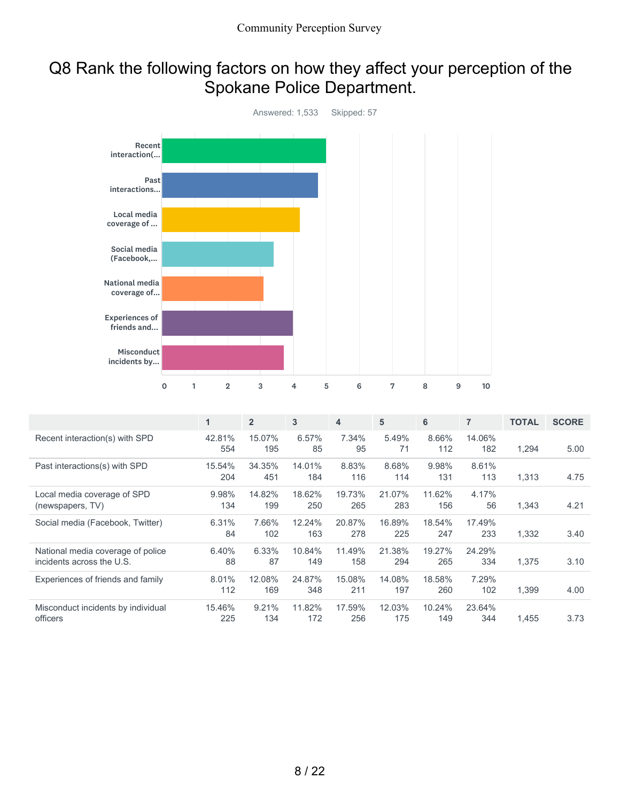## Q8 Rank the following factors on how they affect your perception of the Spokane Police Department.



|                                                                | $\mathbf{1}$  | $\overline{2}$ | 3             | 4             | 5             | 6             | $\overline{7}$ | <b>TOTAL</b> | <b>SCORE</b> |
|----------------------------------------------------------------|---------------|----------------|---------------|---------------|---------------|---------------|----------------|--------------|--------------|
| Recent interaction(s) with SPD                                 | 42.81%<br>554 | 15.07%<br>195  | 6.57%<br>85   | 7.34%<br>95   | 5.49%<br>71   | 8.66%<br>112  | 14.06%<br>182  | 1,294        | 5.00         |
| Past interactions(s) with SPD                                  | 15.54%<br>204 | 34.35%<br>451  | 14.01%<br>184 | 8.83%<br>116  | 8.68%<br>114  | 9.98%<br>131  | 8.61%<br>113   | 1,313        | 4.75         |
| Local media coverage of SPD<br>(newspapers, TV)                | 9.98%<br>134  | 14.82%<br>199  | 18.62%<br>250 | 19.73%<br>265 | 21.07%<br>283 | 11.62%<br>156 | 4.17%<br>56    | 1,343        | 4.21         |
| Social media (Facebook, Twitter)                               | 6.31%<br>84   | 7.66%<br>102   | 12.24%<br>163 | 20.87%<br>278 | 16.89%<br>225 | 18.54%<br>247 | 17.49%<br>233  | 1,332        | 3.40         |
| National media coverage of police<br>incidents across the U.S. | 6.40%<br>88   | 6.33%<br>87    | 10.84%<br>149 | 11.49%<br>158 | 21.38%<br>294 | 19.27%<br>265 | 24.29%<br>334  | 1,375        | 3.10         |
| Experiences of friends and family                              | 8.01%<br>112  | 12.08%<br>169  | 24.87%<br>348 | 15.08%<br>211 | 14.08%<br>197 | 18.58%<br>260 | 7.29%<br>102   | 1,399        | 4.00         |
| Misconduct incidents by individual<br>officers                 | 15.46%<br>225 | 9.21%<br>134   | 11.82%<br>172 | 17.59%<br>256 | 12.03%<br>175 | 10.24%<br>149 | 23.64%<br>344  | 1,455        | 3.73         |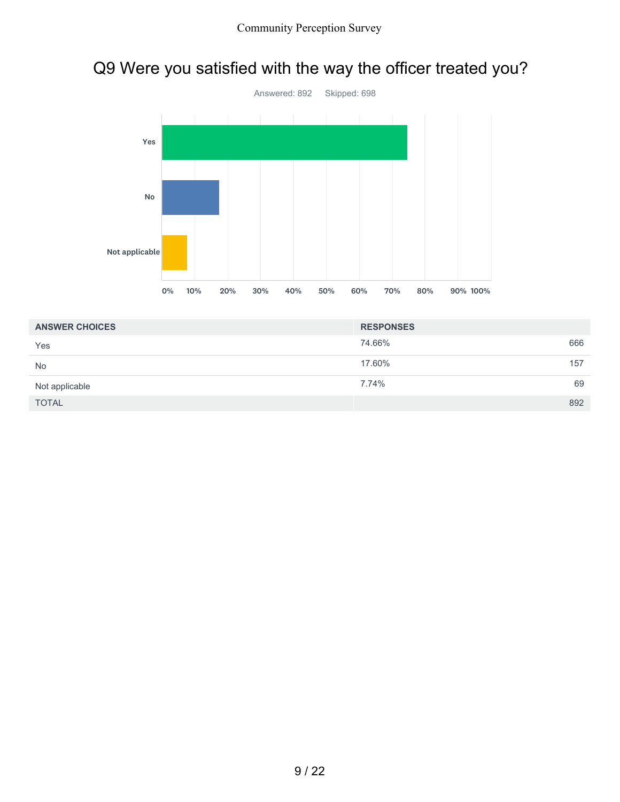



| <b>ANSWER CHOICES</b> | <b>RESPONSES</b> |     |
|-----------------------|------------------|-----|
| Yes                   | 74.66%           | 666 |
| <b>No</b>             | 17.60%           | 157 |
| Not applicable        | 7.74%            | 69  |
| <b>TOTAL</b>          |                  | 892 |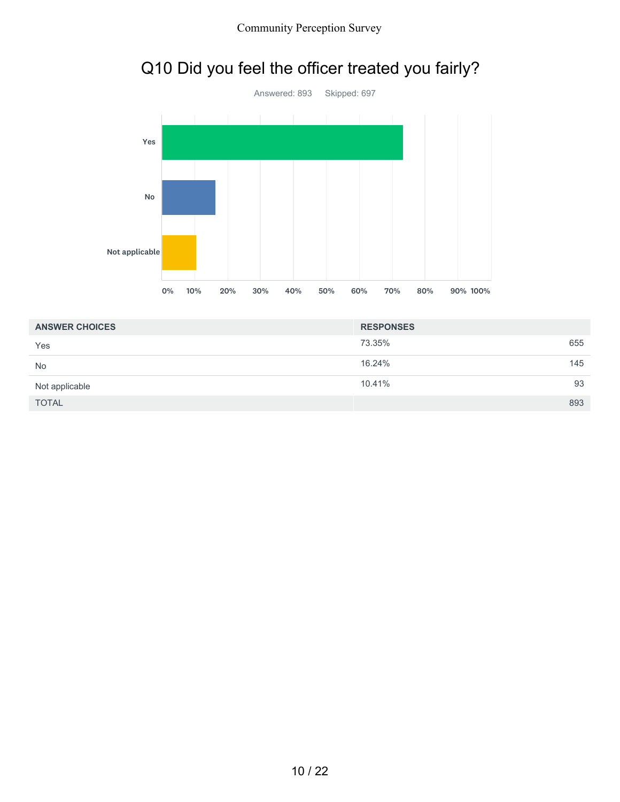![](_page_9_Figure_1.jpeg)

![](_page_9_Figure_2.jpeg)

| <b>ANSWER CHOICES</b> | <b>RESPONSES</b> |     |
|-----------------------|------------------|-----|
| Yes                   | 73.35%           | 655 |
| <b>No</b>             | 16.24%           | 145 |
| Not applicable        | 10.41%           | 93  |
| <b>TOTAL</b>          |                  | 893 |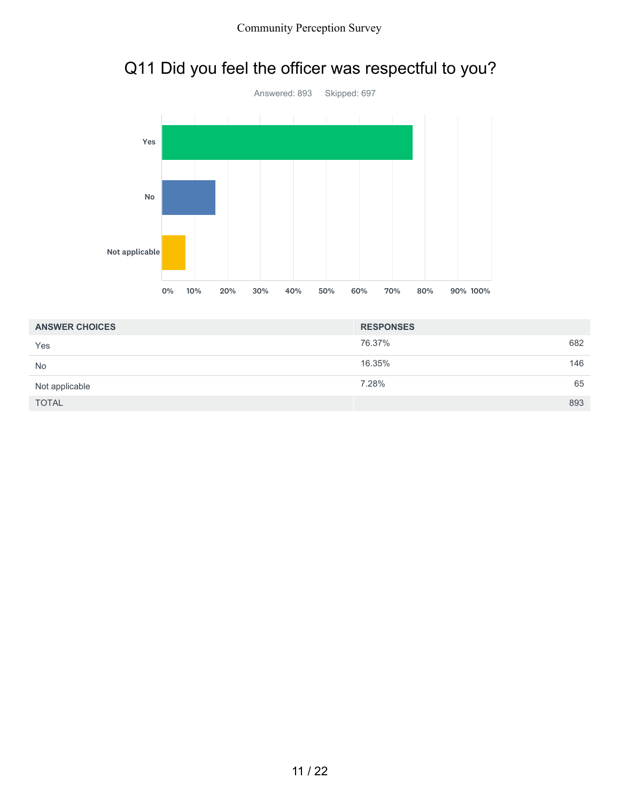# Q11 Did you feel the officer was respectful to you?

![](_page_10_Figure_2.jpeg)

| <b>ANSWER CHOICES</b> | <b>RESPONSES</b> |  |
|-----------------------|------------------|--|
| Yes                   | 76.37%<br>682    |  |
| <b>No</b>             | 16.35%<br>146    |  |
| Not applicable        | 65<br>7.28%      |  |
| <b>TOTAL</b>          | 893              |  |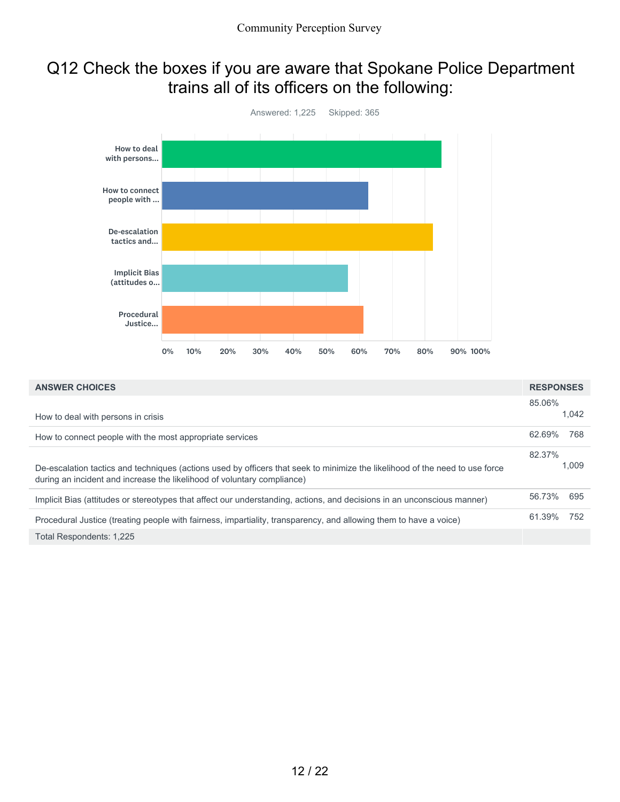### Q12 Check the boxes if you are aware that Spokane Police Department trains all of its officers on the following:

![](_page_11_Figure_2.jpeg)

| <b>ANSWER CHOICES</b>                                                                                                                                                                                   | <b>RESPONSES</b> |       |
|---------------------------------------------------------------------------------------------------------------------------------------------------------------------------------------------------------|------------------|-------|
| How to deal with persons in crisis                                                                                                                                                                      | 85.06%           | 1.042 |
| How to connect people with the most appropriate services                                                                                                                                                | 62.69%           | 768   |
| De-escalation tactics and techniques (actions used by officers that seek to minimize the likelihood of the need to use force<br>during an incident and increase the likelihood of voluntary compliance) | 82.37%           | 1.009 |
| Implicit Bias (attitudes or stereotypes that affect our understanding, actions, and decisions in an unconscious manner)                                                                                 | 56.73%           | 695   |
| Procedural Justice (treating people with fairness, impartiality, transparency, and allowing them to have a voice)                                                                                       | 61.39%           | 752   |
| Total Respondents: 1,225                                                                                                                                                                                |                  |       |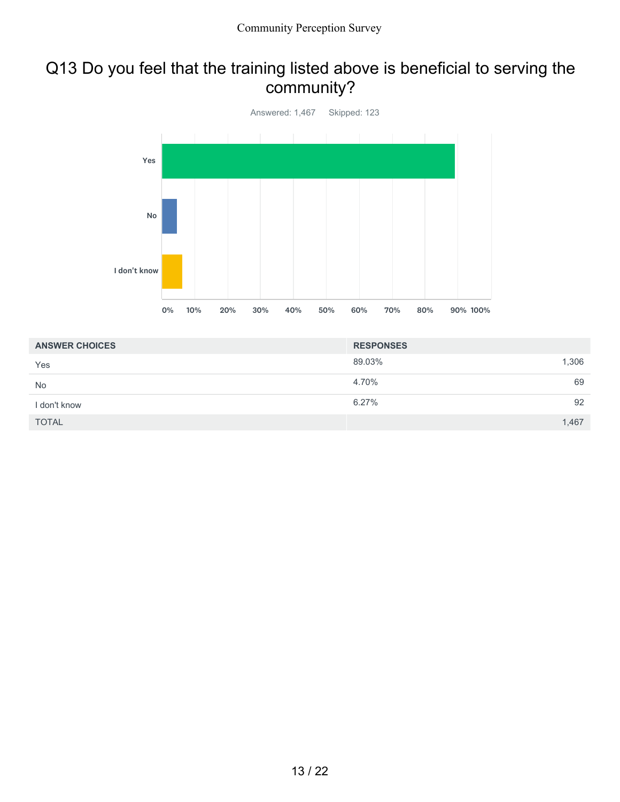#### Q13 Do you feel that the training listed above is beneficial to serving the community?

![](_page_12_Figure_2.jpeg)

| <b>ANSWER CHOICES</b> | <b>RESPONSES</b> |    |
|-----------------------|------------------|----|
| Yes                   | 89.03%<br>1,306  |    |
| <b>No</b>             | 4.70%            | 69 |
| I don't know          | 6.27%            | 92 |
| <b>TOTAL</b>          | 1,467            |    |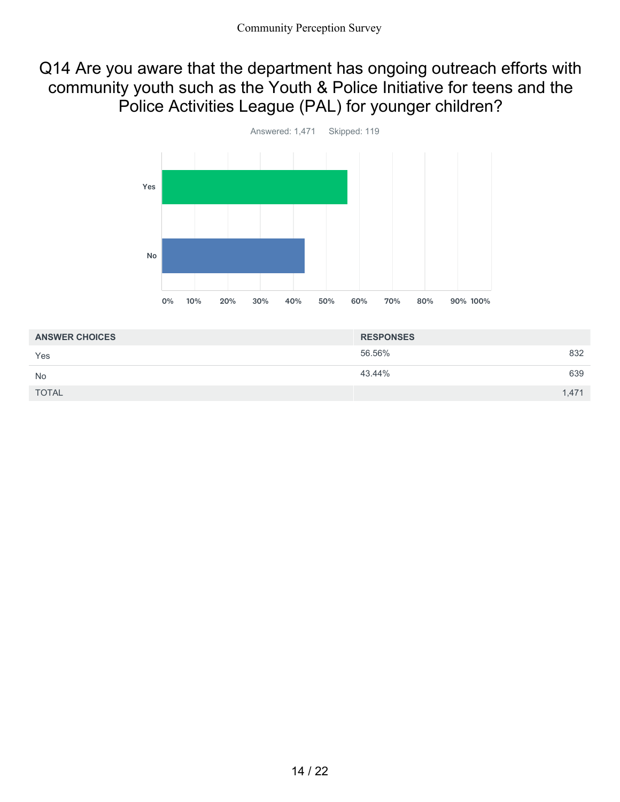#### Q14 Are you aware that the department has ongoing outreach efforts with community youth such as the Youth & Police Initiative for teens and the Police Activities League (PAL) for younger children?

![](_page_13_Figure_2.jpeg)

| <b>ANSWER CHOICES</b> | <b>RESPONSES</b> |       |
|-----------------------|------------------|-------|
| Yes                   | 56.56%           | 832   |
| <b>No</b>             | 43.44%           | 639   |
| <b>TOTAL</b>          |                  | 1,471 |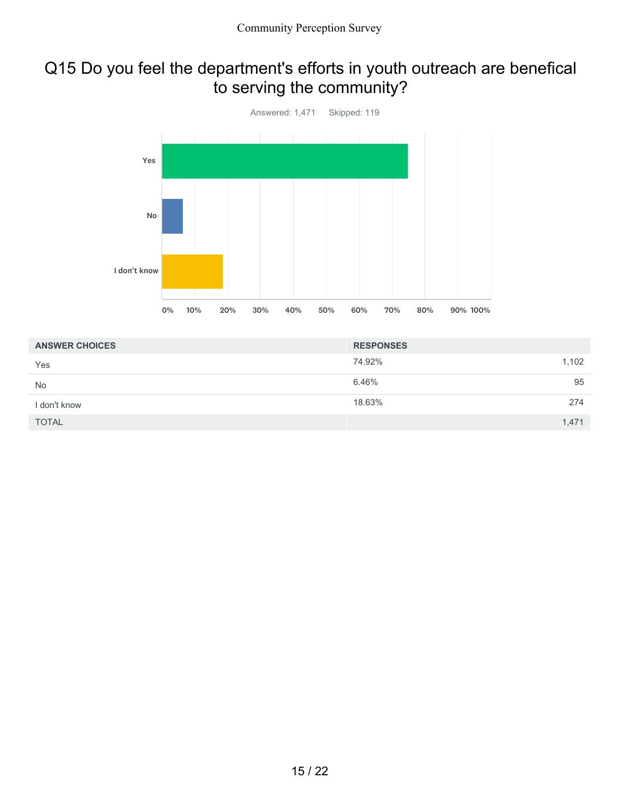## Q15 Do you feel the department's efforts in youth outreach are benefical to serving the community?

![](_page_14_Figure_2.jpeg)

| <b>ANSWER CHOICES</b> | <b>RESPONSES</b> |       |
|-----------------------|------------------|-------|
| Yes                   | 74.92%           | 1,102 |
| <b>No</b>             | 6.46%            | 95    |
| I don't know          | 18.63%           | 274   |
| <b>TOTAL</b>          |                  | 1,471 |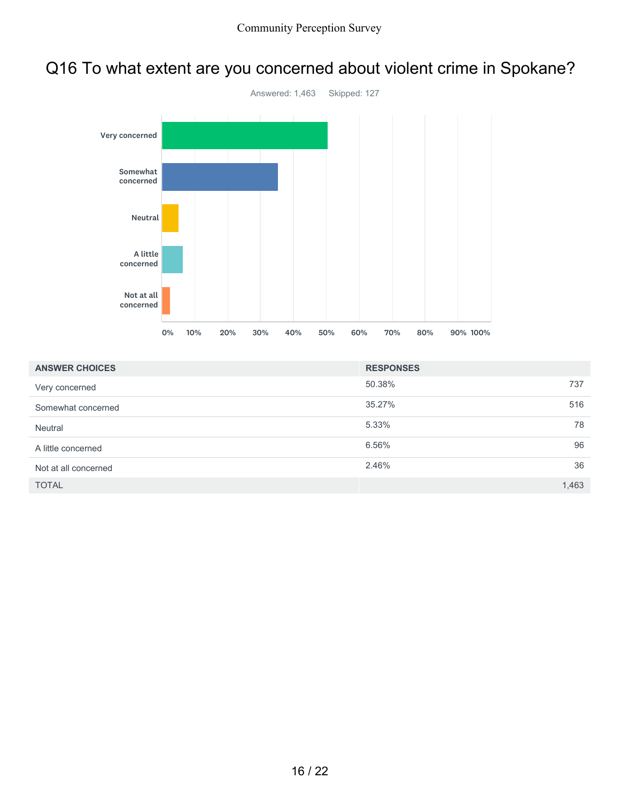## Q16 To what extent are you concerned about violent crime in Spokane?

![](_page_15_Figure_2.jpeg)

| <b>ANSWER CHOICES</b> | <b>RESPONSES</b> |       |
|-----------------------|------------------|-------|
| Very concerned        | 50.38%           | 737   |
| Somewhat concerned    | 35.27%           | 516   |
| Neutral               | 5.33%            | 78    |
| A little concerned    | 6.56%            | 96    |
| Not at all concerned  | 2.46%            | 36    |
| <b>TOTAL</b>          |                  | 1,463 |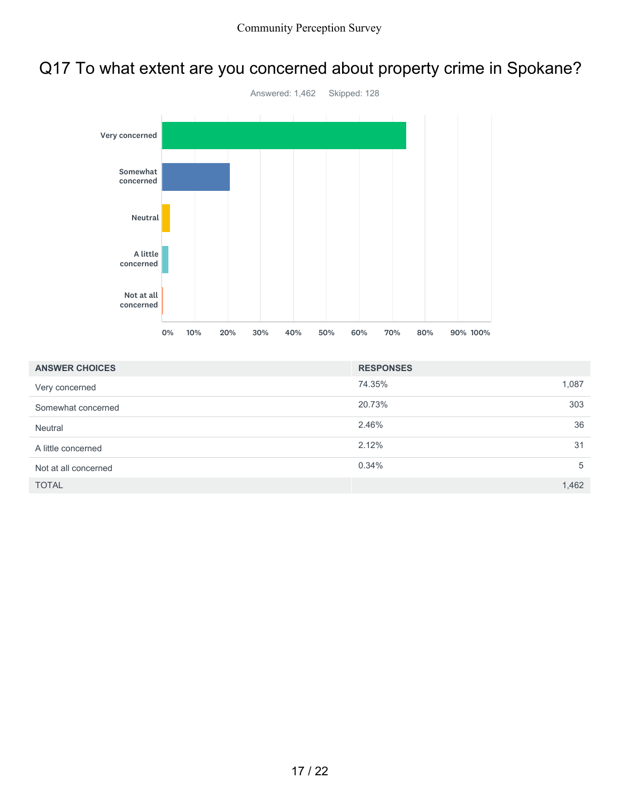## Q17 To what extent are you concerned about property crime in Spokane?

![](_page_16_Figure_2.jpeg)

| <b>ANSWER CHOICES</b> | <b>RESPONSES</b> |       |
|-----------------------|------------------|-------|
| Very concerned        | 74.35%           | 1,087 |
| Somewhat concerned    | 20.73%           | 303   |
| Neutral               | 2.46%            | 36    |
| A little concerned    | 2.12%            | 31    |
| Not at all concerned  | 0.34%            | 5     |
| <b>TOTAL</b>          |                  | 1,462 |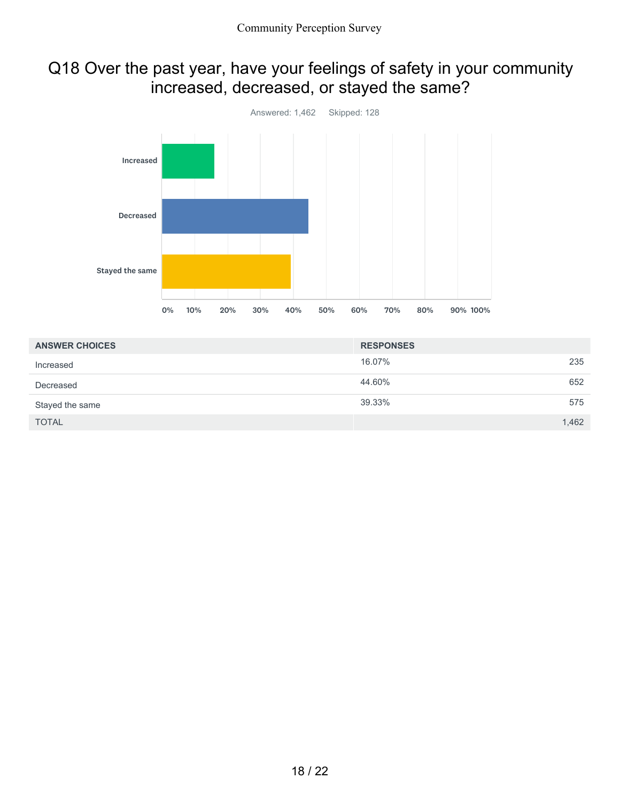### Q18 Over the past year, have your feelings of safety in your community increased, decreased, or stayed the same?

![](_page_17_Figure_2.jpeg)

| <b>ANSWER CHOICES</b> | <b>RESPONSES</b> |
|-----------------------|------------------|
| Increased             | 16.07%<br>235    |
| Decreased             | 44.60%<br>652    |
| Stayed the same       | 39.33%<br>575    |
| <b>TOTAL</b>          | 1,462            |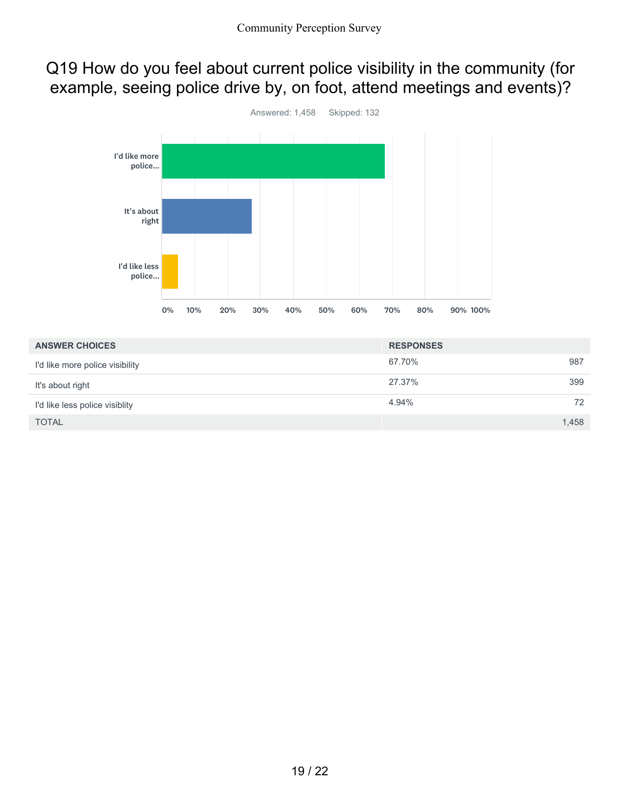### Q19 How do you feel about current police visibility in the community (for example, seeing police drive by, on foot, attend meetings and events)?

![](_page_18_Figure_2.jpeg)

| <b>ANSWER CHOICES</b>           | <b>RESPONSES</b> |       |
|---------------------------------|------------------|-------|
| I'd like more police visibility | 67.70%           | 987   |
| It's about right                | 27.37%           | 399   |
| I'd like less police visiblity  | 4.94%            | 72    |
| <b>TOTAL</b>                    |                  | 1,458 |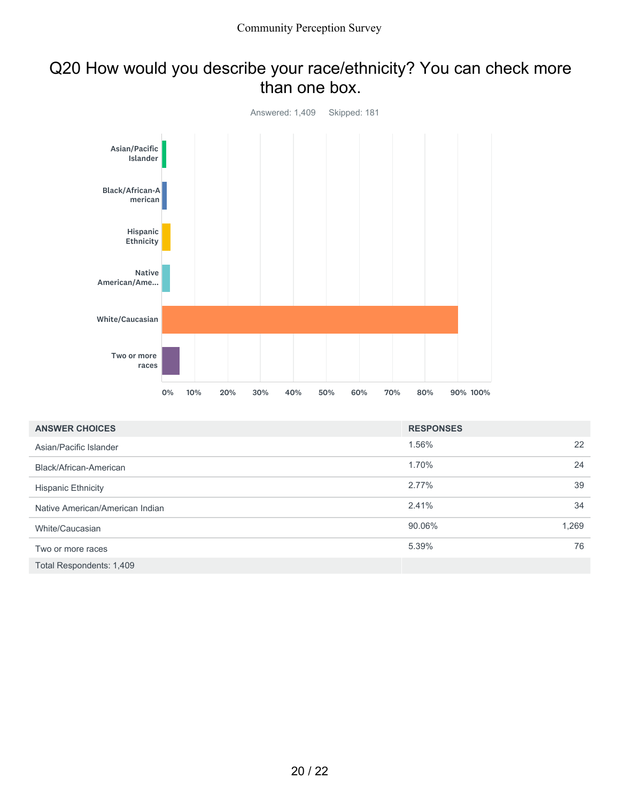#### Q20 How would you describe your race/ethnicity? You can check more than one box.

![](_page_19_Figure_2.jpeg)

| <b>ANSWER CHOICES</b>           | <b>RESPONSES</b> |       |
|---------------------------------|------------------|-------|
| Asian/Pacific Islander          | 1.56%            | 22    |
| Black/African-American          | 1.70%            | 24    |
| <b>Hispanic Ethnicity</b>       | 2.77%            | 39    |
| Native American/American Indian | 2.41%            | 34    |
| White/Caucasian                 | 90.06%           | 1,269 |
| Two or more races               | 5.39%            | 76    |
| Total Respondents: 1,409        |                  |       |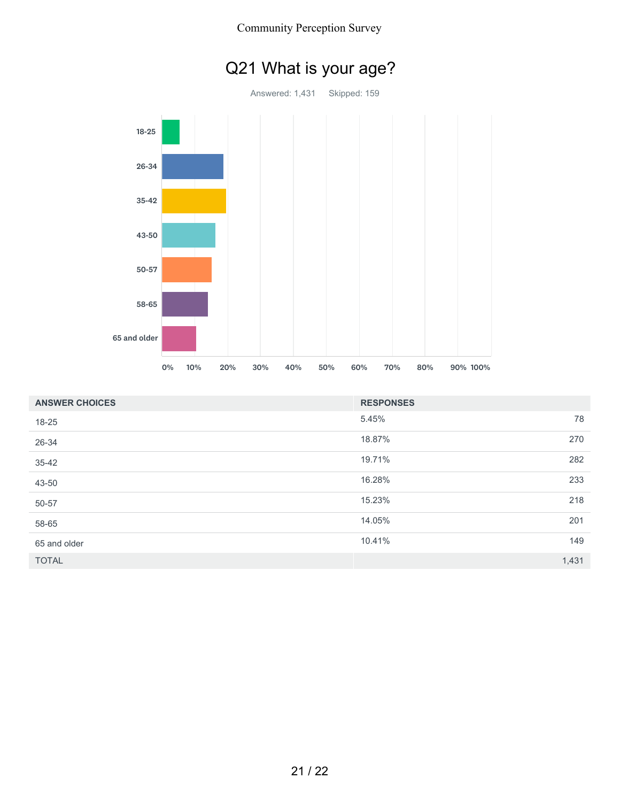![](_page_20_Figure_0.jpeg)

![](_page_20_Figure_1.jpeg)

| Q21 What is your age? |  |  |
|-----------------------|--|--|
|                       |  |  |

| <b>ANSWER CHOICES</b> | <b>RESPONSES</b> |       |
|-----------------------|------------------|-------|
| $18 - 25$             | 5.45%            | 78    |
| 26-34                 | 18.87%           | 270   |
| $35 - 42$             | 19.71%           | 282   |
| 43-50                 | 16.28%           | 233   |
| 50-57                 | 15.23%           | 218   |
| 58-65                 | 14.05%           | 201   |
| 65 and older          | 10.41%           | 149   |
| <b>TOTAL</b>          |                  | 1,431 |